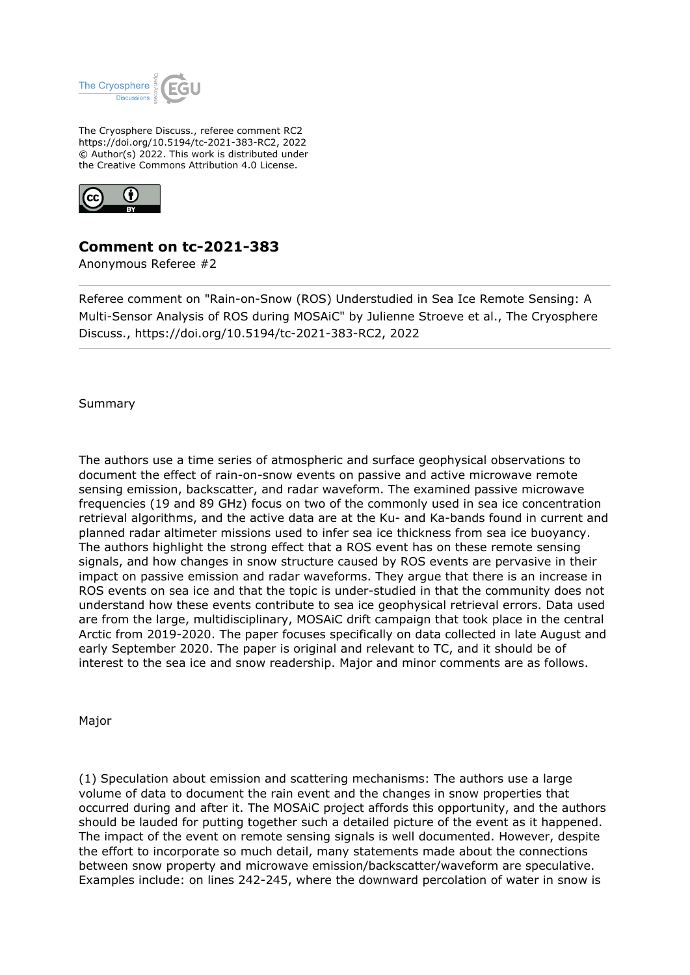

The Cryosphere Discuss., referee comment RC2 https://doi.org/10.5194/tc-2021-383-RC2, 2022 © Author(s) 2022. This work is distributed under the Creative Commons Attribution 4.0 License.



## **Comment on tc-2021-383**

Anonymous Referee #2

Referee comment on "Rain-on-Snow (ROS) Understudied in Sea Ice Remote Sensing: A Multi-Sensor Analysis of ROS during MOSAiC" by Julienne Stroeve et al., The Cryosphere Discuss., https://doi.org/10.5194/tc-2021-383-RC2, 2022

Summary

The authors use a time series of atmospheric and surface geophysical observations to document the effect of rain-on-snow events on passive and active microwave remote sensing emission, backscatter, and radar waveform. The examined passive microwave frequencies (19 and 89 GHz) focus on two of the commonly used in sea ice concentration retrieval algorithms, and the active data are at the Ku- and Ka-bands found in current and planned radar altimeter missions used to infer sea ice thickness from sea ice buoyancy. The authors highlight the strong effect that a ROS event has on these remote sensing signals, and how changes in snow structure caused by ROS events are pervasive in their impact on passive emission and radar waveforms. They argue that there is an increase in ROS events on sea ice and that the topic is under-studied in that the community does not understand how these events contribute to sea ice geophysical retrieval errors. Data used are from the large, multidisciplinary, MOSAiC drift campaign that took place in the central Arctic from 2019-2020. The paper focuses specifically on data collected in late August and early September 2020. The paper is original and relevant to TC, and it should be of interest to the sea ice and snow readership. Major and minor comments are as follows.

Major

(1) Speculation about emission and scattering mechanisms: The authors use a large volume of data to document the rain event and the changes in snow properties that occurred during and after it. The MOSAiC project affords this opportunity, and the authors should be lauded for putting together such a detailed picture of the event as it happened. The impact of the event on remote sensing signals is well documented. However, despite the effort to incorporate so much detail, many statements made about the connections between snow property and microwave emission/backscatter/waveform are speculative. Examples include: on lines 242-245, where the downward percolation of water in snow is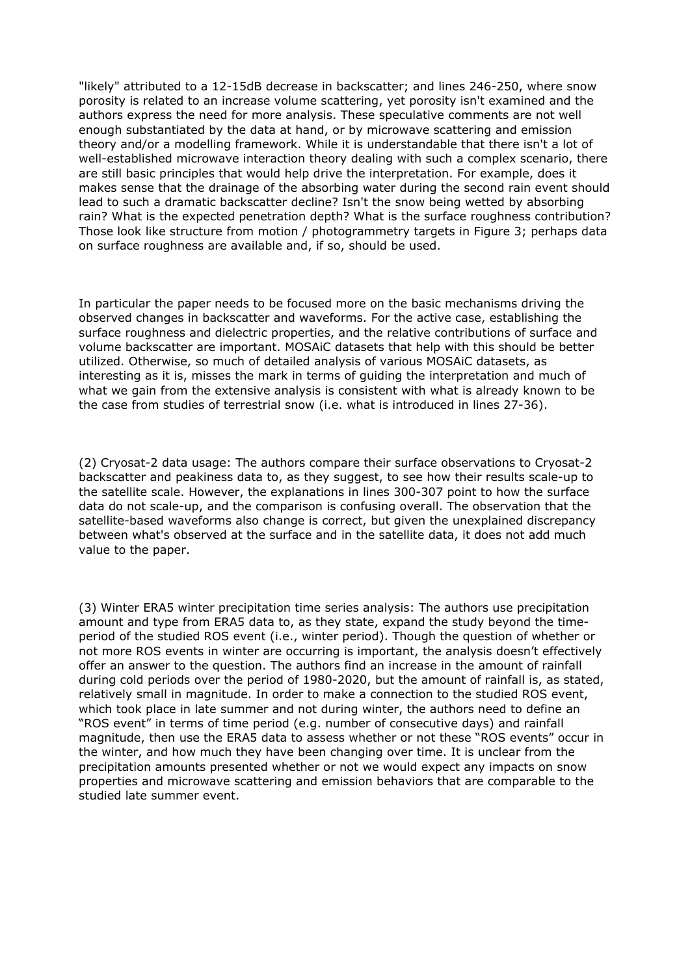"likely" attributed to a 12-15dB decrease in backscatter; and lines 246-250, where snow porosity is related to an increase volume scattering, yet porosity isn't examined and the authors express the need for more analysis. These speculative comments are not well enough substantiated by the data at hand, or by microwave scattering and emission theory and/or a modelling framework. While it is understandable that there isn't a lot of well-established microwave interaction theory dealing with such a complex scenario, there are still basic principles that would help drive the interpretation. For example, does it makes sense that the drainage of the absorbing water during the second rain event should lead to such a dramatic backscatter decline? Isn't the snow being wetted by absorbing rain? What is the expected penetration depth? What is the surface roughness contribution? Those look like structure from motion / photogrammetry targets in Figure 3; perhaps data on surface roughness are available and, if so, should be used.

In particular the paper needs to be focused more on the basic mechanisms driving the observed changes in backscatter and waveforms. For the active case, establishing the surface roughness and dielectric properties, and the relative contributions of surface and volume backscatter are important. MOSAiC datasets that help with this should be better utilized. Otherwise, so much of detailed analysis of various MOSAiC datasets, as interesting as it is, misses the mark in terms of guiding the interpretation and much of what we gain from the extensive analysis is consistent with what is already known to be the case from studies of terrestrial snow (i.e. what is introduced in lines 27-36).

(2) Cryosat-2 data usage: The authors compare their surface observations to Cryosat-2 backscatter and peakiness data to, as they suggest, to see how their results scale-up to the satellite scale. However, the explanations in lines 300-307 point to how the surface data do not scale-up, and the comparison is confusing overall. The observation that the satellite-based waveforms also change is correct, but given the unexplained discrepancy between what's observed at the surface and in the satellite data, it does not add much value to the paper.

(3) Winter ERA5 winter precipitation time series analysis: The authors use precipitation amount and type from ERA5 data to, as they state, expand the study beyond the timeperiod of the studied ROS event (i.e., winter period). Though the question of whether or not more ROS events in winter are occurring is important, the analysis doesn't effectively offer an answer to the question. The authors find an increase in the amount of rainfall during cold periods over the period of 1980-2020, but the amount of rainfall is, as stated, relatively small in magnitude. In order to make a connection to the studied ROS event, which took place in late summer and not during winter, the authors need to define an "ROS event" in terms of time period (e.g. number of consecutive days) and rainfall magnitude, then use the ERA5 data to assess whether or not these "ROS events" occur in the winter, and how much they have been changing over time. It is unclear from the precipitation amounts presented whether or not we would expect any impacts on snow properties and microwave scattering and emission behaviors that are comparable to the studied late summer event.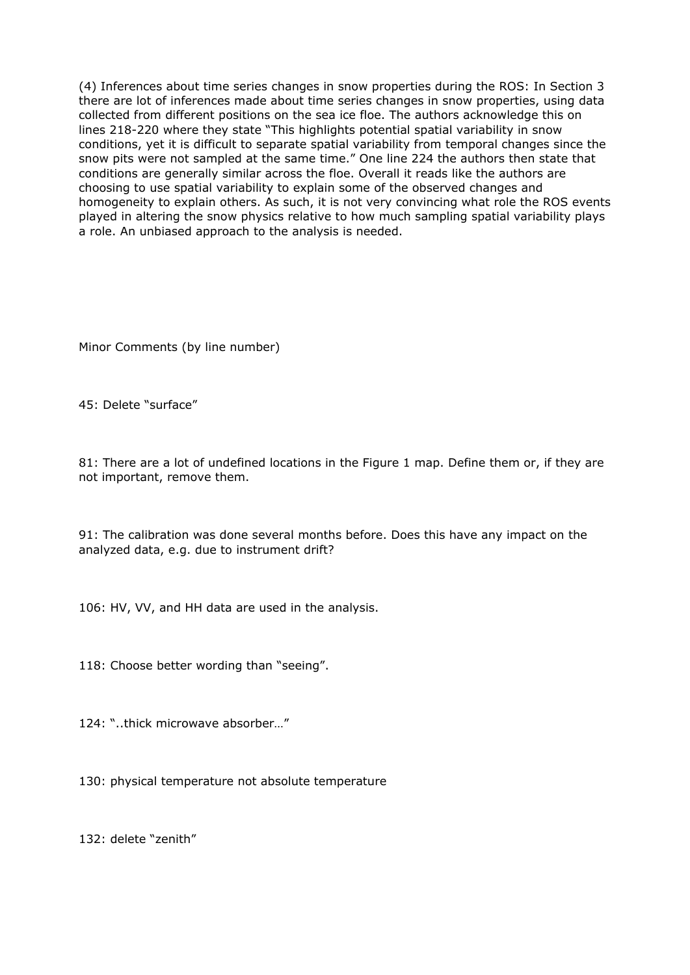(4) Inferences about time series changes in snow properties during the ROS: In Section 3 there are lot of inferences made about time series changes in snow properties, using data collected from different positions on the sea ice floe. The authors acknowledge this on lines 218-220 where they state "This highlights potential spatial variability in snow conditions, yet it is difficult to separate spatial variability from temporal changes since the snow pits were not sampled at the same time." One line 224 the authors then state that conditions are generally similar across the floe. Overall it reads like the authors are choosing to use spatial variability to explain some of the observed changes and homogeneity to explain others. As such, it is not very convincing what role the ROS events played in altering the snow physics relative to how much sampling spatial variability plays a role. An unbiased approach to the analysis is needed.

Minor Comments (by line number)

45: Delete "surface"

81: There are a lot of undefined locations in the Figure 1 map. Define them or, if they are not important, remove them.

91: The calibration was done several months before. Does this have any impact on the analyzed data, e.g. due to instrument drift?

106: HV, VV, and HH data are used in the analysis.

118: Choose better wording than "seeing".

124: "..thick microwave absorber…"

130: physical temperature not absolute temperature

132: delete "zenith"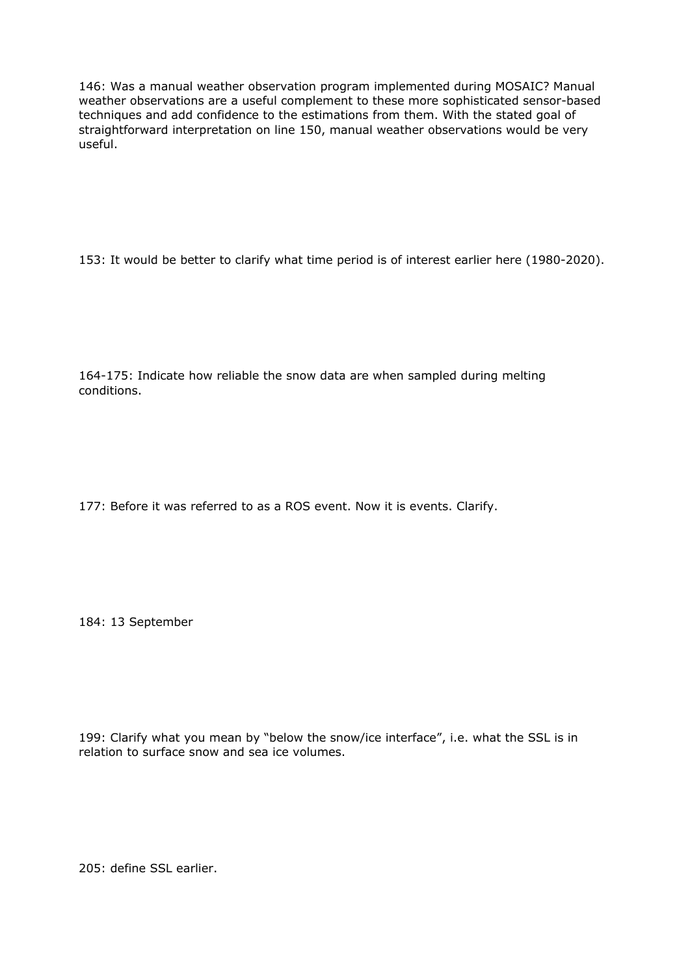146: Was a manual weather observation program implemented during MOSAIC? Manual weather observations are a useful complement to these more sophisticated sensor-based techniques and add confidence to the estimations from them. With the stated goal of straightforward interpretation on line 150, manual weather observations would be very useful.

153: It would be better to clarify what time period is of interest earlier here (1980-2020).

164-175: Indicate how reliable the snow data are when sampled during melting conditions.

177: Before it was referred to as a ROS event. Now it is events. Clarify.

184: 13 September

199: Clarify what you mean by "below the snow/ice interface", i.e. what the SSL is in relation to surface snow and sea ice volumes.

205: define SSL earlier.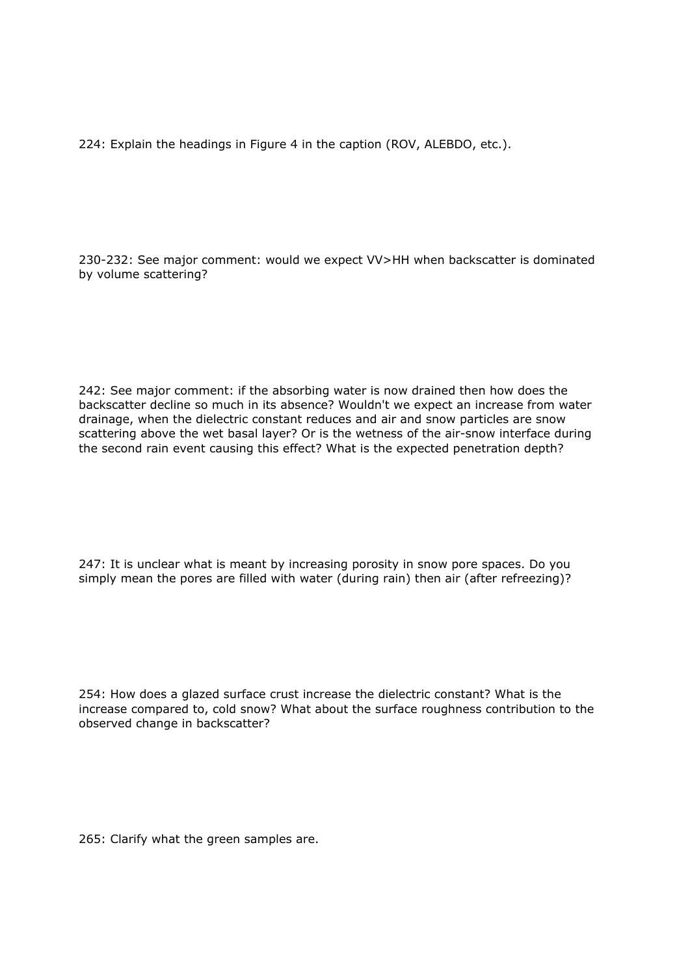224: Explain the headings in Figure 4 in the caption (ROV, ALEBDO, etc.).

230-232: See major comment: would we expect VV>HH when backscatter is dominated by volume scattering?

242: See major comment: if the absorbing water is now drained then how does the backscatter decline so much in its absence? Wouldn't we expect an increase from water drainage, when the dielectric constant reduces and air and snow particles are snow scattering above the wet basal layer? Or is the wetness of the air-snow interface during the second rain event causing this effect? What is the expected penetration depth?

247: It is unclear what is meant by increasing porosity in snow pore spaces. Do you simply mean the pores are filled with water (during rain) then air (after refreezing)?

254: How does a glazed surface crust increase the dielectric constant? What is the increase compared to, cold snow? What about the surface roughness contribution to the observed change in backscatter?

265: Clarify what the green samples are.